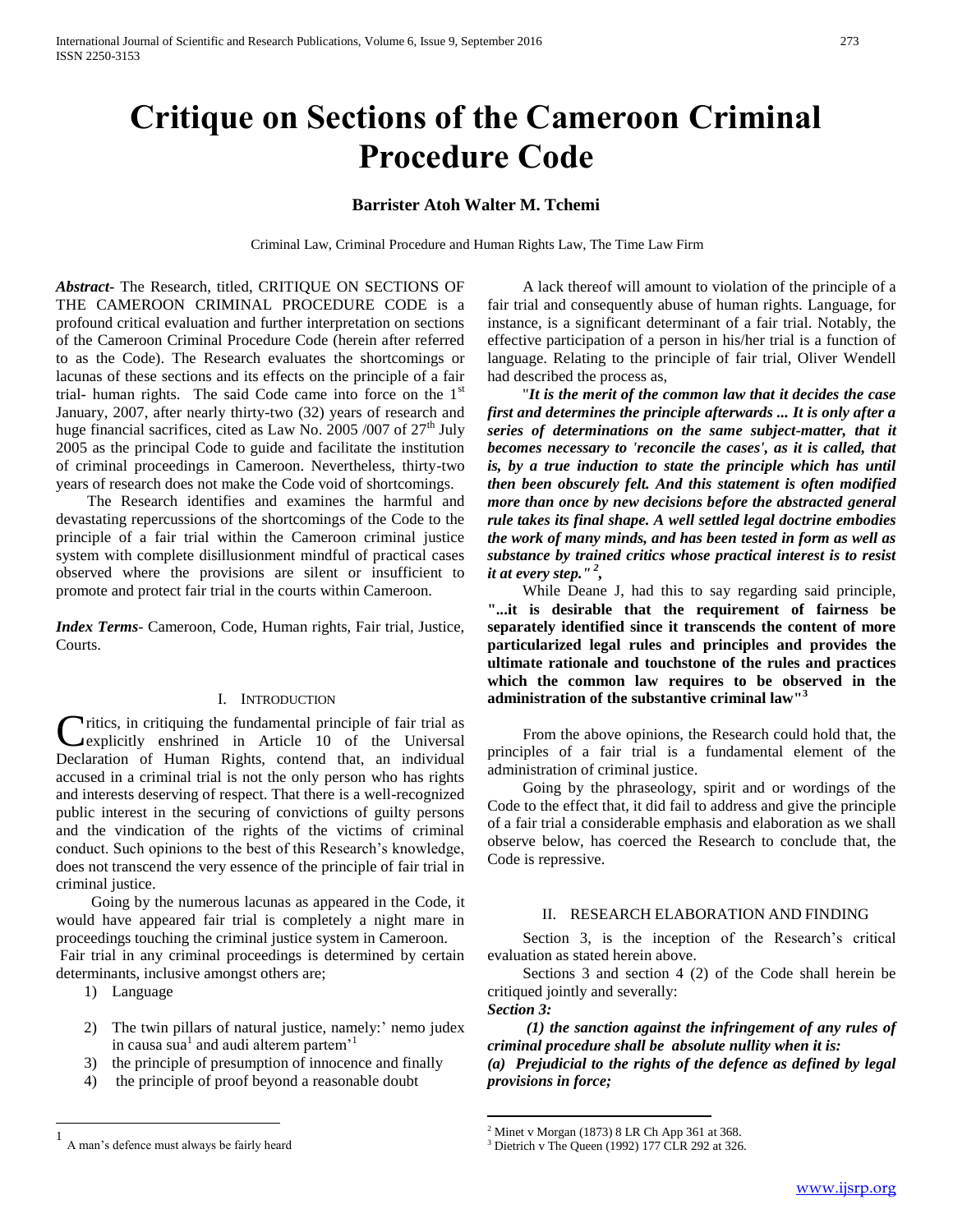# **Critique on Sections of the Cameroon Criminal Procedure Code**

# **Barrister Atoh Walter M. Tchemi**

Criminal Law, Criminal Procedure and Human Rights Law, The Time Law Firm

*Abstract***-** The Research, titled, CRITIQUE ON SECTIONS OF THE CAMEROON CRIMINAL PROCEDURE CODE is a profound critical evaluation and further interpretation on sections of the Cameroon Criminal Procedure Code (herein after referred to as the Code). The Research evaluates the shortcomings or lacunas of these sections and its effects on the principle of a fair trial- human rights. The said Code came into force on the  $1<sup>st</sup>$ January, 2007, after nearly thirty-two (32) years of research and huge financial sacrifices, cited as Law No. 2005 /007 of  $27<sup>th</sup>$  July 2005 as the principal Code to guide and facilitate the institution of criminal proceedings in Cameroon. Nevertheless, thirty-two years of research does not make the Code void of shortcomings.

 The Research identifies and examines the harmful and devastating repercussions of the shortcomings of the Code to the principle of a fair trial within the Cameroon criminal justice system with complete disillusionment mindful of practical cases observed where the provisions are silent or insufficient to promote and protect fair trial in the courts within Cameroon.

*Index Terms*- Cameroon, Code, Human rights, Fair trial, Justice, Courts.

#### I. INTRODUCTION

Critics, in critiquing the fundamental principle of fair trial as<br>
explicitly enshrined in Article 10 of the Universal explicitly enshrined in Article 10 of the Universal Declaration of Human Rights, contend that, an individual accused in a criminal trial is not the only person who has rights and interests deserving of respect. That there is a well-recognized public interest in the securing of convictions of guilty persons and the vindication of the rights of the victims of criminal conduct. Such opinions to the best of this Research's knowledge, does not transcend the very essence of the principle of fair trial in criminal justice.

 Going by the numerous lacunas as appeared in the Code, it would have appeared fair trial is completely a night mare in proceedings touching the criminal justice system in Cameroon. Fair trial in any criminal proceedings is determined by certain

determinants, inclusive amongst others are;

1) Language

 $\overline{a}$ 

- 2) The twin pillars of natural justice, namely:' nemo judex in causa sua<sup>1</sup> and audi alterem partem<sup>,1</sup>
- 3) the principle of presumption of innocence and finally
- 4) the principle of proof beyond a reasonable doubt

 A lack thereof will amount to violation of the principle of a fair trial and consequently abuse of human rights. Language, for instance, is a significant determinant of a fair trial. Notably, the effective participation of a person in his/her trial is a function of language. Relating to the principle of fair trial, Oliver Wendell had described the process as,

 "*It is the merit of the common law that it decides the case first and determines the principle afterwards ... It is only after a series of determinations on the same subject-matter, that it becomes necessary to 'reconcile the cases', as it is called, that is, by a true induction to state the principle which has until then been obscurely felt. And this statement is often modified more than once by new decisions before the abstracted general rule takes its final shape. A well settled legal doctrine embodies the work of many minds, and has been tested in form as well as substance by trained critics whose practical interest is to resist it at every step." <sup>2</sup> ,*

 While Deane J, had this to say regarding said principle, **"...it is desirable that the requirement of fairness be separately identified since it transcends the content of more particularized legal rules and principles and provides the ultimate rationale and touchstone of the rules and practices which the common law requires to be observed in the administration of the substantive criminal law"<sup>3</sup>**

 From the above opinions, the Research could hold that, the principles of a fair trial is a fundamental element of the administration of criminal justice.

 Going by the phraseology, spirit and or wordings of the Code to the effect that, it did fail to address and give the principle of a fair trial a considerable emphasis and elaboration as we shall observe below, has coerced the Research to conclude that, the Code is repressive.

#### II. RESEARCH ELABORATION AND FINDING

 Section 3, is the inception of the Research's critical evaluation as stated herein above.

 Sections 3 and section 4 (2) of the Code shall herein be critiqued jointly and severally: *Section 3:*

 *(1) the sanction against the infringement of any rules of criminal procedure shall be absolute nullity when it is: (a) Prejudicial to the rights of the defence as defined by legal provisions in force;*

 $\overline{a}$ 

<sup>1</sup> A man's defence must always be fairly heard

<sup>2</sup> Minet v Morgan (1873) 8 LR Ch App 361 at 368.

 $3$  Dietrich v The Queen (1992) 177 CLR 292 at 326.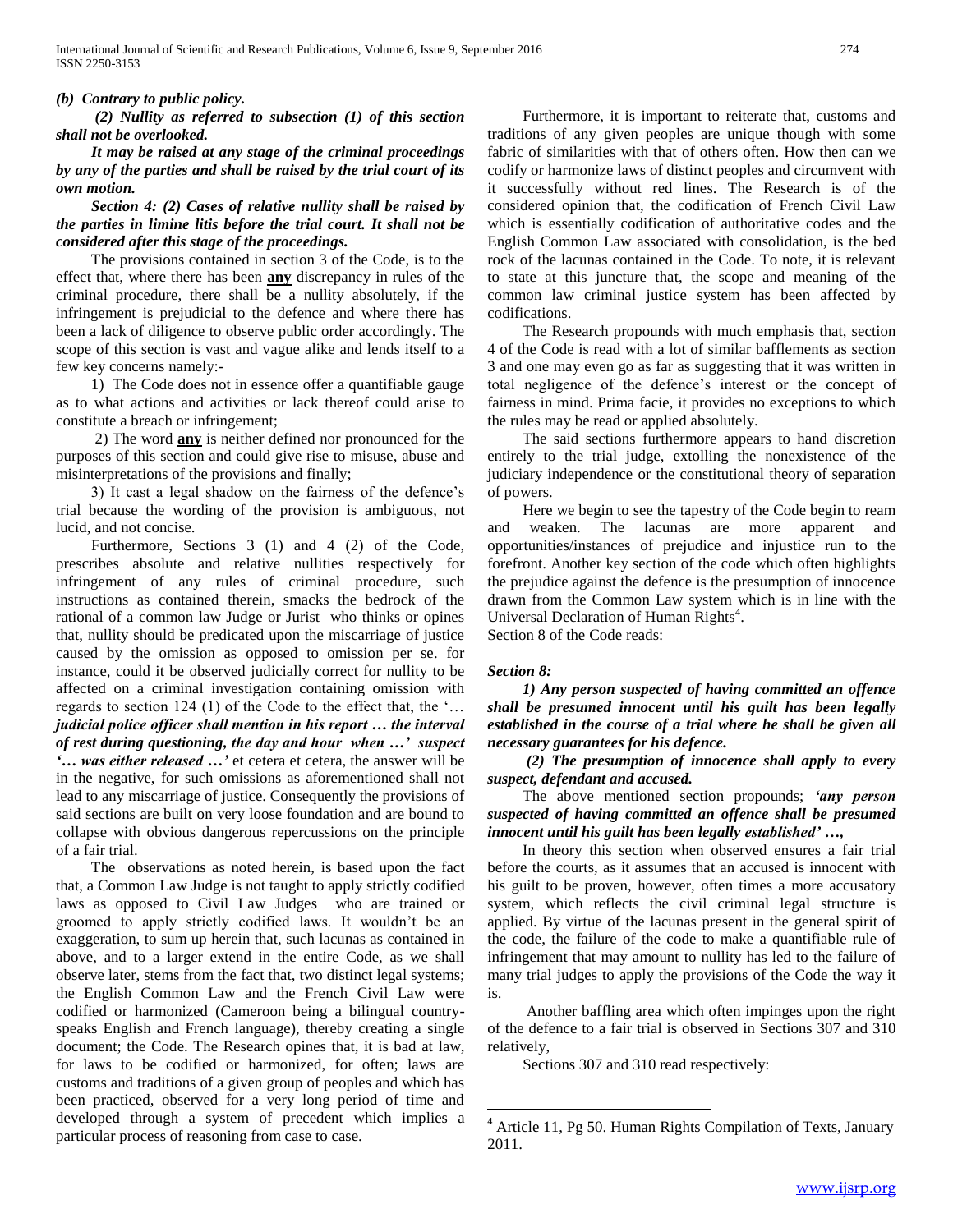#### *(b) Contrary to public policy.*

 *(2) Nullity as referred to subsection (1) of this section shall not be overlooked.*

 *It may be raised at any stage of the criminal proceedings by any of the parties and shall be raised by the trial court of its own motion.*

## *Section 4: (2) Cases of relative nullity shall be raised by the parties in limine litis before the trial court. It shall not be considered after this stage of the proceedings.*

 The provisions contained in section 3 of the Code, is to the effect that, where there has been **any** discrepancy in rules of the criminal procedure, there shall be a nullity absolutely, if the infringement is prejudicial to the defence and where there has been a lack of diligence to observe public order accordingly. The scope of this section is vast and vague alike and lends itself to a few key concerns namely:-

 1) The Code does not in essence offer a quantifiable gauge as to what actions and activities or lack thereof could arise to constitute a breach or infringement;

 2) The word **any** is neither defined nor pronounced for the purposes of this section and could give rise to misuse, abuse and misinterpretations of the provisions and finally;

 3) It cast a legal shadow on the fairness of the defence's trial because the wording of the provision is ambiguous, not lucid, and not concise.

 Furthermore, Sections 3 (1) and 4 (2) of the Code, prescribes absolute and relative nullities respectively for infringement of any rules of criminal procedure, such instructions as contained therein, smacks the bedrock of the rational of a common law Judge or Jurist who thinks or opines that, nullity should be predicated upon the miscarriage of justice caused by the omission as opposed to omission per se. for instance, could it be observed judicially correct for nullity to be affected on a criminal investigation containing omission with regards to section 124 (1) of the Code to the effect that, the '… *judicial police officer shall mention in his report … the interval of rest during questioning, the day and hour when …' suspect '… was either released …'* et cetera et cetera, the answer will be in the negative, for such omissions as aforementioned shall not lead to any miscarriage of justice. Consequently the provisions of said sections are built on very loose foundation and are bound to collapse with obvious dangerous repercussions on the principle of a fair trial.

 The observations as noted herein, is based upon the fact that, a Common Law Judge is not taught to apply strictly codified laws as opposed to Civil Law Judges who are trained or groomed to apply strictly codified laws. It wouldn't be an exaggeration, to sum up herein that, such lacunas as contained in above, and to a larger extend in the entire Code, as we shall observe later, stems from the fact that, two distinct legal systems; the English Common Law and the French Civil Law were codified or harmonized (Cameroon being a bilingual countryspeaks English and French language), thereby creating a single document; the Code. The Research opines that, it is bad at law, for laws to be codified or harmonized, for often; laws are customs and traditions of a given group of peoples and which has been practiced, observed for a very long period of time and developed through a system of precedent which implies a particular process of reasoning from case to case.

 Furthermore, it is important to reiterate that, customs and traditions of any given peoples are unique though with some fabric of similarities with that of others often. How then can we codify or harmonize laws of distinct peoples and circumvent with it successfully without red lines. The Research is of the considered opinion that, the codification of French Civil Law which is essentially codification of authoritative codes and the English Common Law associated with consolidation, is the bed rock of the lacunas contained in the Code. To note, it is relevant to state at this juncture that, the scope and meaning of the common law criminal justice system has been affected by codifications.

 The Research propounds with much emphasis that, section 4 of the Code is read with a lot of similar bafflements as section 3 and one may even go as far as suggesting that it was written in total negligence of the defence's interest or the concept of fairness in mind. Prima facie, it provides no exceptions to which the rules may be read or applied absolutely.

 The said sections furthermore appears to hand discretion entirely to the trial judge, extolling the nonexistence of the judiciary independence or the constitutional theory of separation of powers.

 Here we begin to see the tapestry of the Code begin to ream and weaken. The lacunas are more apparent and opportunities/instances of prejudice and injustice run to the forefront. Another key section of the code which often highlights the prejudice against the defence is the presumption of innocence drawn from the Common Law system which is in line with the Universal Declaration of Human Rights<sup>4</sup>. Section 8 of the Code reads:

#### *Section 8:*

 $\overline{a}$ 

 *1) Any person suspected of having committed an offence shall be presumed innocent until his guilt has been legally established in the course of a trial where he shall be given all necessary guarantees for his defence.*

 *(2) The presumption of innocence shall apply to every suspect, defendant and accused.*

 The above mentioned section propounds; *'any person suspected of having committed an offence shall be presumed innocent until his guilt has been legally established' …,*

 In theory this section when observed ensures a fair trial before the courts, as it assumes that an accused is innocent with his guilt to be proven, however, often times a more accusatory system, which reflects the civil criminal legal structure is applied. By virtue of the lacunas present in the general spirit of the code, the failure of the code to make a quantifiable rule of infringement that may amount to nullity has led to the failure of many trial judges to apply the provisions of the Code the way it is.

 Another baffling area which often impinges upon the right of the defence to a fair trial is observed in Sections 307 and 310 relatively,

Sections 307 and 310 read respectively:

 $4$  Article 11, Pg 50. Human Rights Compilation of Texts, January 2011.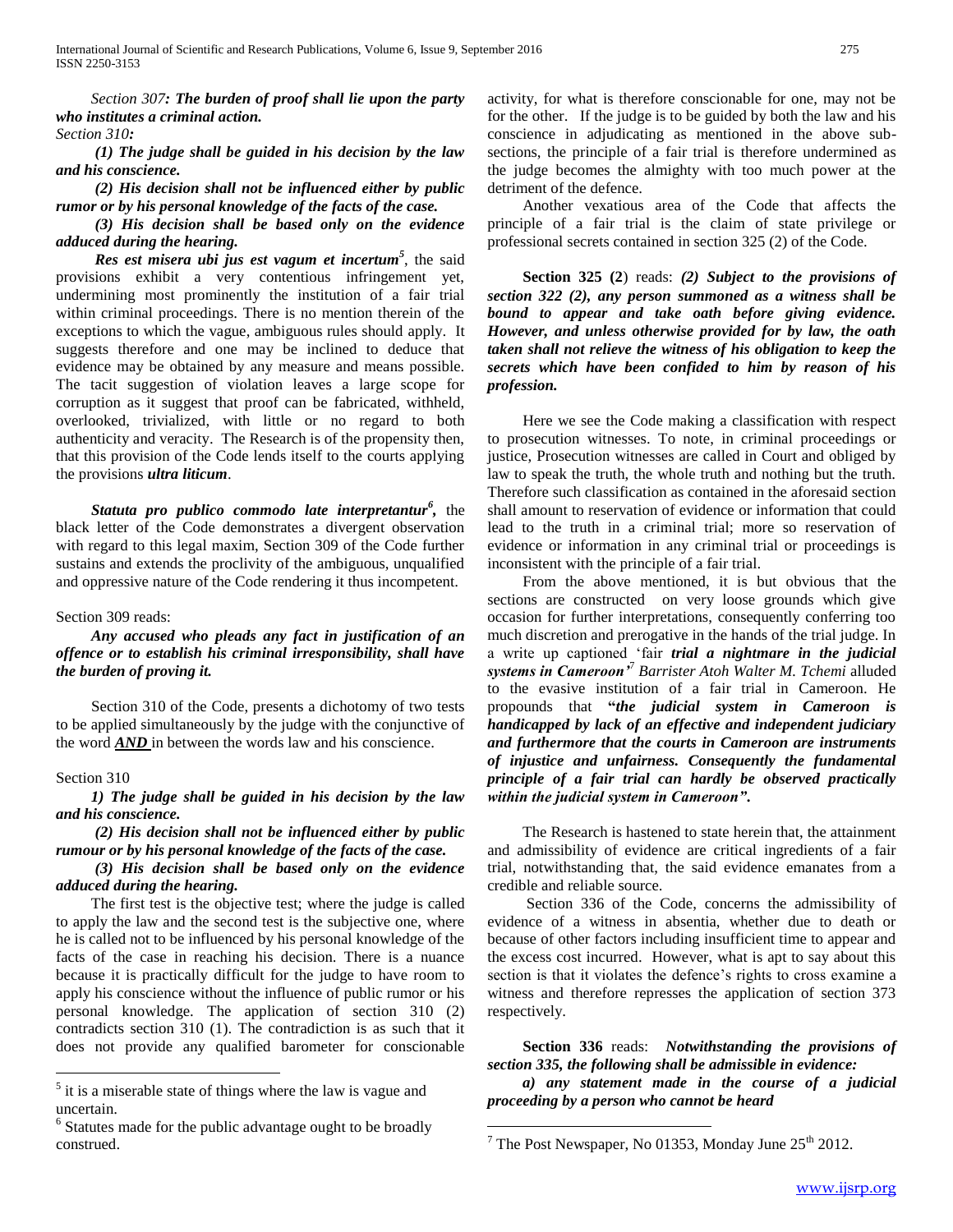*Section 307: The burden of proof shall lie upon the party who institutes a criminal action. Section 310:* 

 *(1) The judge shall be guided in his decision by the law and his conscience.*

 *(2) His decision shall not be influenced either by public rumor or by his personal knowledge of the facts of the case.*

 *(3) His decision shall be based only on the evidence adduced during the hearing.*

 *Res est misera ubi jus est vagum et incertum<sup>5</sup>* , the said provisions exhibit a very contentious infringement yet, undermining most prominently the institution of a fair trial within criminal proceedings. There is no mention therein of the exceptions to which the vague, ambiguous rules should apply. It suggests therefore and one may be inclined to deduce that evidence may be obtained by any measure and means possible. The tacit suggestion of violation leaves a large scope for corruption as it suggest that proof can be fabricated, withheld, overlooked, trivialized, with little or no regard to both authenticity and veracity. The Research is of the propensity then, that this provision of the Code lends itself to the courts applying the provisions *ultra liticum*.

 *Statuta pro publico commodo late interpretantur<sup>6</sup> ,* the black letter of the Code demonstrates a divergent observation with regard to this legal maxim, Section 309 of the Code further sustains and extends the proclivity of the ambiguous, unqualified and oppressive nature of the Code rendering it thus incompetent.

#### Section 309 reads:

## *Any accused who pleads any fact in justification of an offence or to establish his criminal irresponsibility, shall have the burden of proving it.*

 Section 310 of the Code, presents a dichotomy of two tests to be applied simultaneously by the judge with the conjunctive of the word *AND* in between the words law and his conscience.

#### Section 310

 $\overline{a}$ 

## *1) The judge shall be guided in his decision by the law and his conscience.*

 *(2) His decision shall not be influenced either by public rumour or by his personal knowledge of the facts of the case.*

# *(3) His decision shall be based only on the evidence adduced during the hearing.*

 The first test is the objective test; where the judge is called to apply the law and the second test is the subjective one, where he is called not to be influenced by his personal knowledge of the facts of the case in reaching his decision. There is a nuance because it is practically difficult for the judge to have room to apply his conscience without the influence of public rumor or his personal knowledge. The application of section 310 (2) contradicts section 310 (1). The contradiction is as such that it does not provide any qualified barometer for conscionable activity, for what is therefore conscionable for one, may not be for the other. If the judge is to be guided by both the law and his conscience in adjudicating as mentioned in the above subsections, the principle of a fair trial is therefore undermined as the judge becomes the almighty with too much power at the detriment of the defence.

 Another vexatious area of the Code that affects the principle of a fair trial is the claim of state privilege or professional secrets contained in section 325 (2) of the Code.

 **Section 325 (2**) reads: *(2) Subject to the provisions of section 322 (2), any person summoned as a witness shall be bound to appear and take oath before giving evidence. However, and unless otherwise provided for by law, the oath taken shall not relieve the witness of his obligation to keep the secrets which have been confided to him by reason of his profession.*

 Here we see the Code making a classification with respect to prosecution witnesses. To note, in criminal proceedings or justice, Prosecution witnesses are called in Court and obliged by law to speak the truth, the whole truth and nothing but the truth. Therefore such classification as contained in the aforesaid section shall amount to reservation of evidence or information that could lead to the truth in a criminal trial; more so reservation of evidence or information in any criminal trial or proceedings is inconsistent with the principle of a fair trial.

 From the above mentioned, it is but obvious that the sections are constructed on very loose grounds which give occasion for further interpretations, consequently conferring too much discretion and prerogative in the hands of the trial judge. In a write up captioned 'fair *trial a nightmare in the judicial systems in Cameroon'*<sup>7</sup> *Barrister Atoh Walter M. Tchemi* alluded to the evasive institution of a fair trial in Cameroon. He propounds that **"***the judicial system in Cameroon is handicapped by lack of an effective and independent judiciary and furthermore that the courts in Cameroon are instruments of injustice and unfairness. Consequently the fundamental principle of a fair trial can hardly be observed practically within the judicial system in Cameroon"***.** 

 The Research is hastened to state herein that, the attainment and admissibility of evidence are critical ingredients of a fair trial, notwithstanding that, the said evidence emanates from a credible and reliable source.

 Section 336 of the Code, concerns the admissibility of evidence of a witness in absentia, whether due to death or because of other factors including insufficient time to appear and the excess cost incurred. However, what is apt to say about this section is that it violates the defence's rights to cross examine a witness and therefore represses the application of section 373 respectively.

 **Section 336** reads: *Notwithstanding the provisions of section 335, the following shall be admissible in evidence: a) any statement made in the course of a judicial* 

*proceeding by a person who cannot be heard*

 $\overline{a}$ 

<sup>&</sup>lt;sup>5</sup> it is a miserable state of things where the law is vague and uncertain.

<sup>&</sup>lt;sup>6</sup> Statutes made for the public advantage ought to be broadly construed.

<sup>&</sup>lt;sup>7</sup> The Post Newspaper, No 01353, Monday June  $25<sup>th</sup> 2012$ .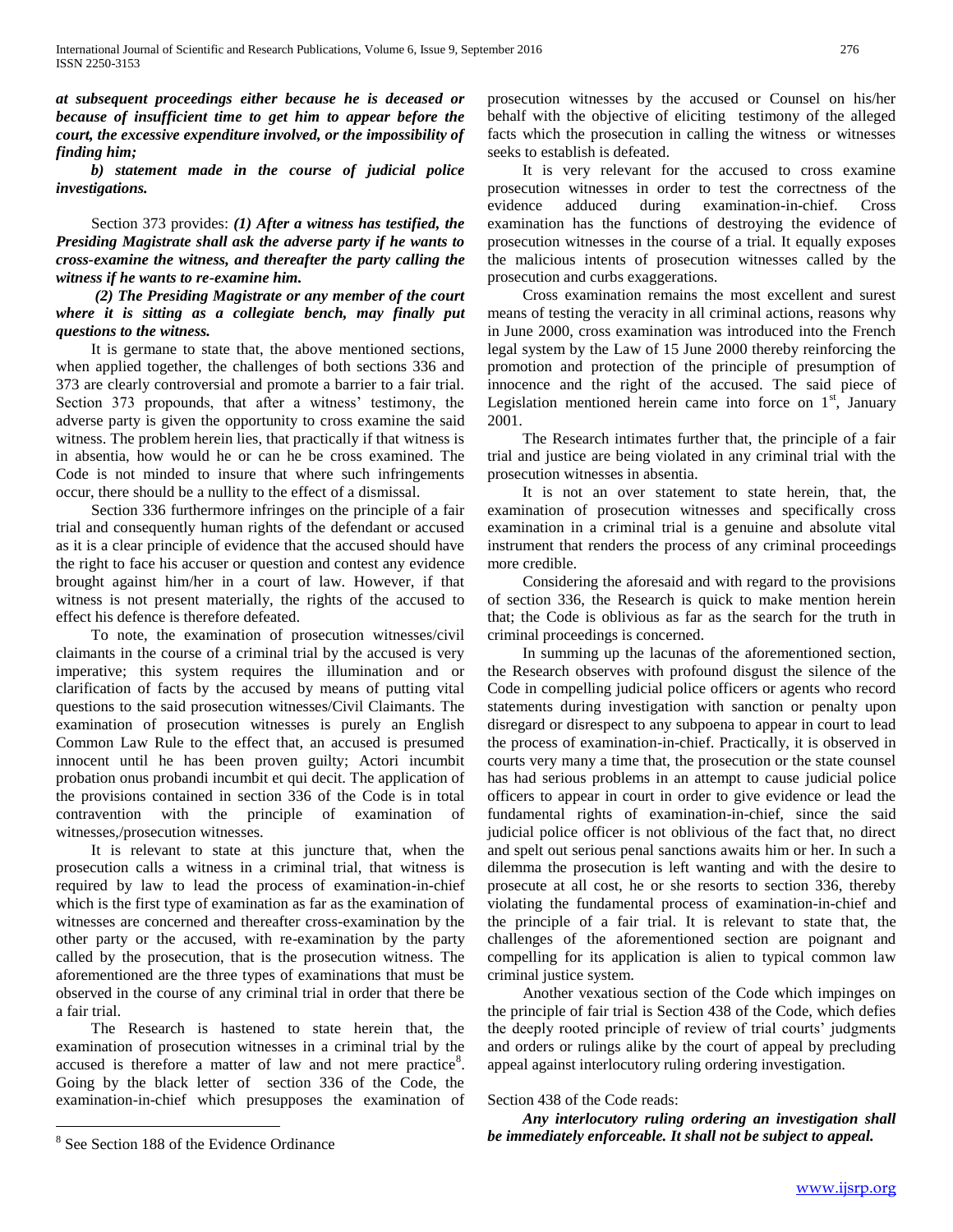*at subsequent proceedings either because he is deceased or because of insufficient time to get him to appear before the court, the excessive expenditure involved, or the impossibility of finding him;*

 *b) statement made in the course of judicial police investigations.*

 Section 373 provides: *(1) After a witness has testified, the Presiding Magistrate shall ask the adverse party if he wants to cross-examine the witness, and thereafter the party calling the witness if he wants to re-examine him.*

## *(2) The Presiding Magistrate or any member of the court where it is sitting as a collegiate bench, may finally put questions to the witness.*

 It is germane to state that, the above mentioned sections, when applied together, the challenges of both sections 336 and 373 are clearly controversial and promote a barrier to a fair trial. Section 373 propounds, that after a witness' testimony, the adverse party is given the opportunity to cross examine the said witness. The problem herein lies, that practically if that witness is in absentia, how would he or can he be cross examined. The Code is not minded to insure that where such infringements occur, there should be a nullity to the effect of a dismissal.

 Section 336 furthermore infringes on the principle of a fair trial and consequently human rights of the defendant or accused as it is a clear principle of evidence that the accused should have the right to face his accuser or question and contest any evidence brought against him/her in a court of law. However, if that witness is not present materially, the rights of the accused to effect his defence is therefore defeated.

 To note, the examination of prosecution witnesses/civil claimants in the course of a criminal trial by the accused is very imperative; this system requires the illumination and or clarification of facts by the accused by means of putting vital questions to the said prosecution witnesses/Civil Claimants. The examination of prosecution witnesses is purely an English Common Law Rule to the effect that, an accused is presumed innocent until he has been proven guilty; Actori incumbit probation onus probandi incumbit et qui decit. The application of the provisions contained in section 336 of the Code is in total contravention with the principle of examination of witnesses,/prosecution witnesses.

 It is relevant to state at this juncture that, when the prosecution calls a witness in a criminal trial, that witness is required by law to lead the process of examination-in-chief which is the first type of examination as far as the examination of witnesses are concerned and thereafter cross-examination by the other party or the accused, with re-examination by the party called by the prosecution, that is the prosecution witness. The aforementioned are the three types of examinations that must be observed in the course of any criminal trial in order that there be a fair trial.

 The Research is hastened to state herein that, the examination of prosecution witnesses in a criminal trial by the accused is therefore a matter of law and not mere practice<sup>8</sup>. Going by the black letter of section 336 of the Code, the examination-in-chief which presupposes the examination of

 $\overline{a}$ 

prosecution witnesses by the accused or Counsel on his/her behalf with the objective of eliciting testimony of the alleged facts which the prosecution in calling the witness or witnesses seeks to establish is defeated.

 It is very relevant for the accused to cross examine prosecution witnesses in order to test the correctness of the evidence adduced during examination-in-chief. Cross examination has the functions of destroying the evidence of prosecution witnesses in the course of a trial. It equally exposes the malicious intents of prosecution witnesses called by the prosecution and curbs exaggerations.

 Cross examination remains the most excellent and surest means of testing the veracity in all criminal actions, reasons why in June 2000, cross examination was introduced into the French legal system by the Law of 15 June 2000 thereby reinforcing the promotion and protection of the principle of presumption of innocence and the right of the accused. The said piece of Legislation mentioned herein came into force on  $1<sup>st</sup>$ , January 2001.

 The Research intimates further that, the principle of a fair trial and justice are being violated in any criminal trial with the prosecution witnesses in absentia.

 It is not an over statement to state herein, that, the examination of prosecution witnesses and specifically cross examination in a criminal trial is a genuine and absolute vital instrument that renders the process of any criminal proceedings more credible.

 Considering the aforesaid and with regard to the provisions of section 336, the Research is quick to make mention herein that; the Code is oblivious as far as the search for the truth in criminal proceedings is concerned.

 In summing up the lacunas of the aforementioned section, the Research observes with profound disgust the silence of the Code in compelling judicial police officers or agents who record statements during investigation with sanction or penalty upon disregard or disrespect to any subpoena to appear in court to lead the process of examination-in-chief. Practically, it is observed in courts very many a time that, the prosecution or the state counsel has had serious problems in an attempt to cause judicial police officers to appear in court in order to give evidence or lead the fundamental rights of examination-in-chief, since the said judicial police officer is not oblivious of the fact that, no direct and spelt out serious penal sanctions awaits him or her. In such a dilemma the prosecution is left wanting and with the desire to prosecute at all cost, he or she resorts to section 336, thereby violating the fundamental process of examination-in-chief and the principle of a fair trial. It is relevant to state that, the challenges of the aforementioned section are poignant and compelling for its application is alien to typical common law criminal justice system.

 Another vexatious section of the Code which impinges on the principle of fair trial is Section 438 of the Code, which defies the deeply rooted principle of review of trial courts' judgments and orders or rulings alike by the court of appeal by precluding appeal against interlocutory ruling ordering investigation.

#### Section 438 of the Code reads:

 *Any interlocutory ruling ordering an investigation shall be immediately enforceable. It shall not be subject to appeal.*

<sup>&</sup>lt;sup>8</sup> See Section 188 of the Evidence Ordinance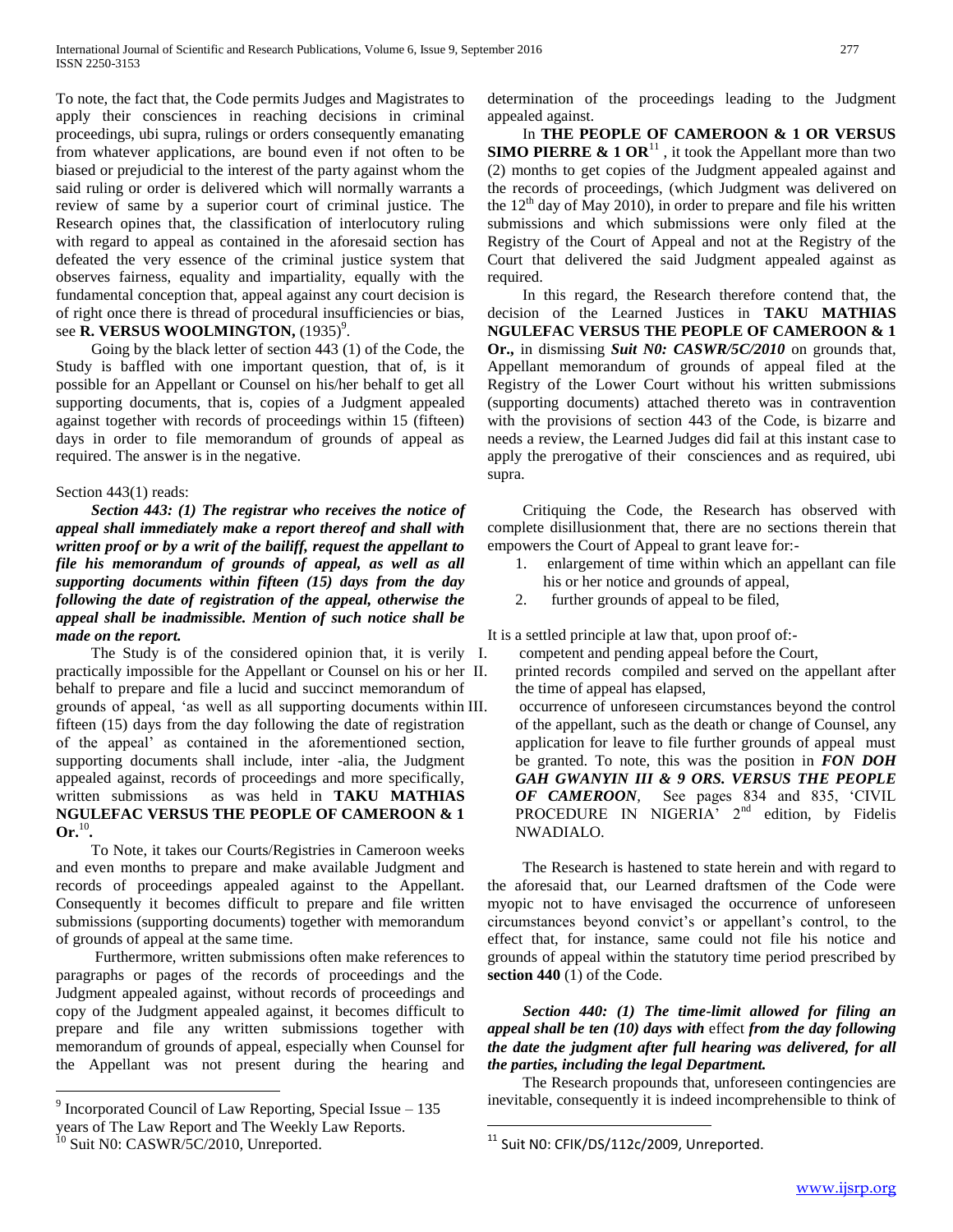To note, the fact that, the Code permits Judges and Magistrates to apply their consciences in reaching decisions in criminal proceedings, ubi supra, rulings or orders consequently emanating from whatever applications, are bound even if not often to be biased or prejudicial to the interest of the party against whom the said ruling or order is delivered which will normally warrants a review of same by a superior court of criminal justice. The Research opines that, the classification of interlocutory ruling with regard to appeal as contained in the aforesaid section has defeated the very essence of the criminal justice system that observes fairness, equality and impartiality, equally with the fundamental conception that, appeal against any court decision is of right once there is thread of procedural insufficiencies or bias, see **R. VERSUS WOOLMINGTON,** (1935)<sup>9</sup>.

 Going by the black letter of section 443 (1) of the Code, the Study is baffled with one important question, that of, is it possible for an Appellant or Counsel on his/her behalf to get all supporting documents, that is, copies of a Judgment appealed against together with records of proceedings within 15 (fifteen) days in order to file memorandum of grounds of appeal as required. The answer is in the negative.

#### Section 443(1) reads:

 *Section 443: (1) The registrar who receives the notice of appeal shall immediately make a report thereof and shall with written proof or by a writ of the bailiff, request the appellant to file his memorandum of grounds of appeal, as well as all supporting documents within fifteen (15) days from the day following the date of registration of the appeal, otherwise the appeal shall be inadmissible. Mention of such notice shall be made on the report.*

The Study is of the considered opinion that, it is verily I. practically impossible for the Appellant or Counsel on his or her behalf to prepare and file a lucid and succinct memorandum of grounds of appeal, 'as well as all supporting documents within fifteen (15) days from the day following the date of registration of the appeal' as contained in the aforementioned section, supporting documents shall include, inter -alia, the Judgment appealed against, records of proceedings and more specifically, written submissions as was held in **TAKU MATHIAS NGULEFAC VERSUS THE PEOPLE OF CAMEROON & 1**   $\mathbf{O}$ **r.**<sup>10</sup>.

 To Note, it takes our Courts/Registries in Cameroon weeks and even months to prepare and make available Judgment and records of proceedings appealed against to the Appellant. Consequently it becomes difficult to prepare and file written submissions (supporting documents) together with memorandum of grounds of appeal at the same time.

 Furthermore, written submissions often make references to paragraphs or pages of the records of proceedings and the Judgment appealed against, without records of proceedings and copy of the Judgment appealed against, it becomes difficult to prepare and file any written submissions together with memorandum of grounds of appeal, especially when Counsel for the Appellant was not present during the hearing and

 $\overline{a}$ 

determination of the proceedings leading to the Judgment appealed against.

 In **THE PEOPLE OF CAMEROON & 1 OR VERSUS SIMO PIERRE & 1 OR**<sup>11</sup>, it took the Appellant more than two (2) months to get copies of the Judgment appealed against and the records of proceedings, (which Judgment was delivered on the  $12<sup>th</sup>$  day of May 2010), in order to prepare and file his written submissions and which submissions were only filed at the Registry of the Court of Appeal and not at the Registry of the Court that delivered the said Judgment appealed against as required.

 In this regard, the Research therefore contend that, the decision of the Learned Justices in **TAKU MATHIAS NGULEFAC VERSUS THE PEOPLE OF CAMEROON & 1 Or.,** in dismissing *Suit N0: CASWR/5C/2010* on grounds that, Appellant memorandum of grounds of appeal filed at the Registry of the Lower Court without his written submissions (supporting documents) attached thereto was in contravention with the provisions of section 443 of the Code, is bizarre and needs a review, the Learned Judges did fail at this instant case to apply the prerogative of their consciences and as required, ubi supra.

 Critiquing the Code, the Research has observed with complete disillusionment that, there are no sections therein that empowers the Court of Appeal to grant leave for:-

- 1. enlargement of time within which an appellant can file his or her notice and grounds of appeal,
- 2. further grounds of appeal to be filed,

It is a settled principle at law that, upon proof of:-

- competent and pending appeal before the Court,
- printed records compiled and served on the appellant after the time of appeal has elapsed,

occurrence of unforeseen circumstances beyond the control of the appellant, such as the death or change of Counsel, any application for leave to file further grounds of appeal must be granted. To note, this was the position in *FON DOH GAH GWANYIN III & 9 ORS. VERSUS THE PEOPLE OF CAMEROON,* See pages 834 and 835, 'CIVIL PROCEDURE IN NIGERIA<sup>y</sup> 2<sup>nd</sup> edition, by Fidelis NWADIALO.

 The Research is hastened to state herein and with regard to the aforesaid that, our Learned draftsmen of the Code were myopic not to have envisaged the occurrence of unforeseen circumstances beyond convict's or appellant's control, to the effect that, for instance, same could not file his notice and grounds of appeal within the statutory time period prescribed by **section 440** (1) of the Code.

# *Section 440: (1) The time-limit allowed for filing an appeal shall be ten (10) days with* effect *from the day following the date the judgment after full hearing was delivered, for all the parties, including the legal Department.*

 The Research propounds that, unforeseen contingencies are inevitable, consequently it is indeed incomprehensible to think of

 $\overline{a}$ 

<sup>&</sup>lt;sup>9</sup> Incorporated Council of Law Reporting, Special Issue  $-135$ 

years of The Law Report and The Weekly Law Reports.

Suit N0: CASWR/5C/2010, Unreported.

<sup>&</sup>lt;sup>11</sup> Suit N0: CFIK/DS/112c/2009, Unreported.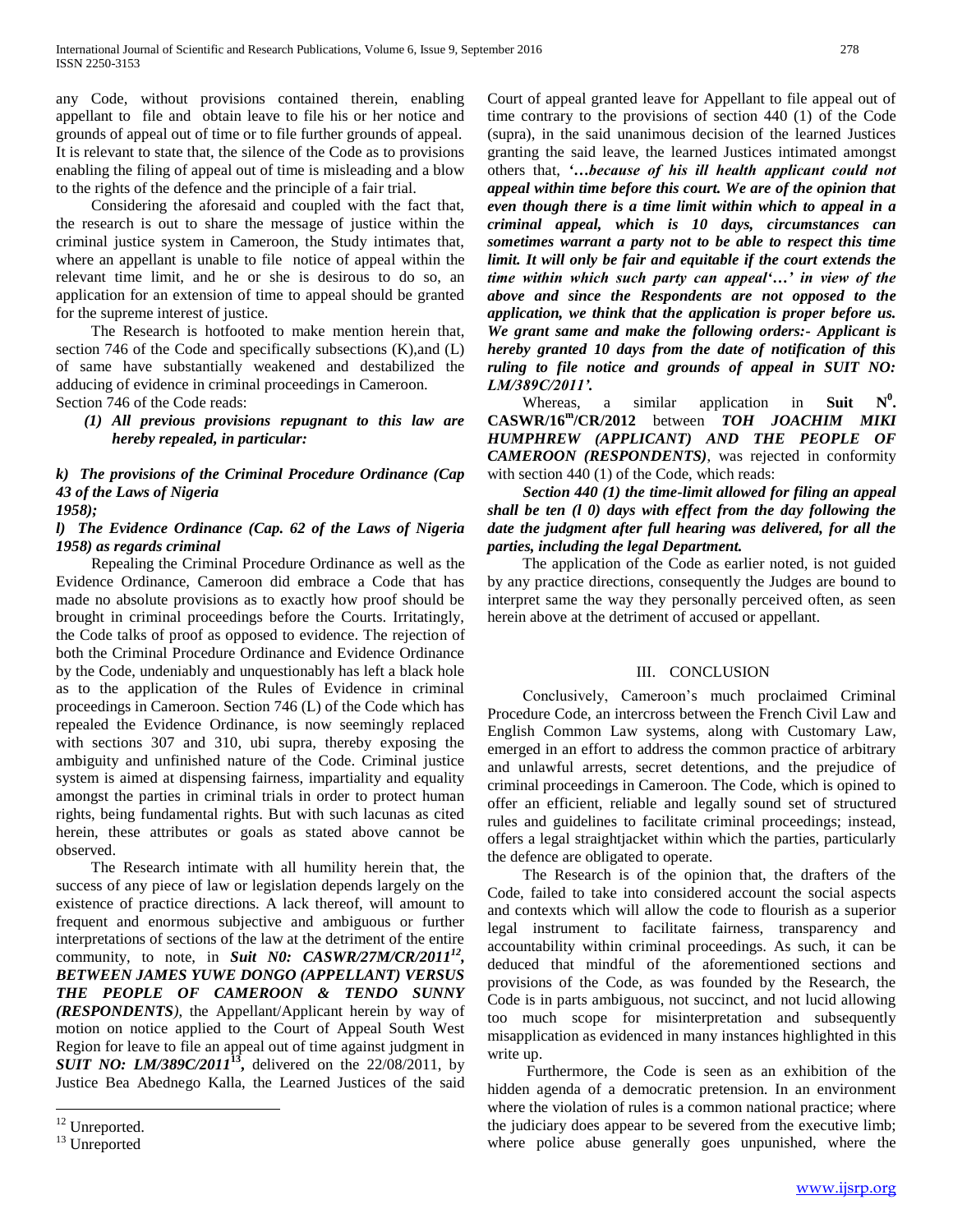any Code, without provisions contained therein, enabling appellant to file and obtain leave to file his or her notice and grounds of appeal out of time or to file further grounds of appeal. It is relevant to state that, the silence of the Code as to provisions enabling the filing of appeal out of time is misleading and a blow to the rights of the defence and the principle of a fair trial.

 Considering the aforesaid and coupled with the fact that, the research is out to share the message of justice within the criminal justice system in Cameroon, the Study intimates that, where an appellant is unable to file notice of appeal within the relevant time limit, and he or she is desirous to do so, an application for an extension of time to appeal should be granted for the supreme interest of justice.

 The Research is hotfooted to make mention herein that, section 746 of the Code and specifically subsections (K),and (L) of same have substantially weakened and destabilized the adducing of evidence in criminal proceedings in Cameroon. Section 746 of the Code reads:

*(1) All previous provisions repugnant to this law are hereby repealed, in particular:* 

## *k) The provisions of the Criminal Procedure Ordinance (Cap 43 of the Laws of Nigeria 1958);*

# *l) The Evidence Ordinance (Cap. 62 of the Laws of Nigeria 1958) as regards criminal*

 Repealing the Criminal Procedure Ordinance as well as the Evidence Ordinance, Cameroon did embrace a Code that has made no absolute provisions as to exactly how proof should be brought in criminal proceedings before the Courts. Irritatingly, the Code talks of proof as opposed to evidence. The rejection of both the Criminal Procedure Ordinance and Evidence Ordinance by the Code, undeniably and unquestionably has left a black hole as to the application of the Rules of Evidence in criminal proceedings in Cameroon. Section 746 (L) of the Code which has repealed the Evidence Ordinance, is now seemingly replaced with sections 307 and 310, ubi supra, thereby exposing the ambiguity and unfinished nature of the Code. Criminal justice system is aimed at dispensing fairness, impartiality and equality amongst the parties in criminal trials in order to protect human rights, being fundamental rights. But with such lacunas as cited herein, these attributes or goals as stated above cannot be observed.

 The Research intimate with all humility herein that, the success of any piece of law or legislation depends largely on the existence of practice directions. A lack thereof, will amount to frequent and enormous subjective and ambiguous or further interpretations of sections of the law at the detriment of the entire community, to note, in *Suit N0: CASWR/27M/CR/2011<sup>12</sup>*, *BETWEEN JAMES YUWE DONGO (APPELLANT) VERSUS THE PEOPLE OF CAMEROON & TENDO SUNNY (RESPONDENTS)*, the Appellant/Applicant herein by way of motion on notice applied to the Court of Appeal South West Region for leave to file an appeal out of time against judgment in *SUIT NO: LM/389C/2011***<sup>13</sup> ,** delivered on the 22/08/2011, by Justice Bea Abednego Kalla, the Learned Justices of the said

 $\overline{a}$ 

Court of appeal granted leave for Appellant to file appeal out of time contrary to the provisions of section 440 (1) of the Code (supra), in the said unanimous decision of the learned Justices granting the said leave, the learned Justices intimated amongst others that, *'…because of his ill health applicant could not appeal within time before this court. We are of the opinion that even though there is a time limit within which to appeal in a criminal appeal, which is 10 days, circumstances can sometimes warrant a party not to be able to respect this time limit. It will only be fair and equitable if the court extends the time within which such party can appeal'…' in view of the above and since the Respondents are not opposed to the application, we think that the application is proper before us. We grant same and make the following orders:- Applicant is hereby granted 10 days from the date of notification of this ruling to file notice and grounds of appeal in SUIT NO: LM/389C/2011'.*

Whereas, a similar application in **Suit**  $N^0$ . **CASWR/16<sup>m</sup> /CR/2012** between *TOH JOACHIM MIKI HUMPHREW (APPLICANT) AND THE PEOPLE OF CAMEROON (RESPONDENTS)*, was rejected in conformity with section 440 (1) of the Code, which reads:

## *Section 440 (1) the time-limit allowed for filing an appeal shall be ten (l 0) days with effect from the day following the date the judgment after full hearing was delivered, for all the parties, including the legal Department.*

 The application of the Code as earlier noted, is not guided by any practice directions, consequently the Judges are bound to interpret same the way they personally perceived often, as seen herein above at the detriment of accused or appellant.

#### III. CONCLUSION

 Conclusively, Cameroon's much proclaimed Criminal Procedure Code, an intercross between the French Civil Law and English Common Law systems, along with Customary Law, emerged in an effort to address the common practice of arbitrary and unlawful arrests, secret detentions, and the prejudice of criminal proceedings in Cameroon. The Code, which is opined to offer an efficient, reliable and legally sound set of structured rules and guidelines to facilitate criminal proceedings; instead, offers a legal straightjacket within which the parties, particularly the defence are obligated to operate.

 The Research is of the opinion that, the drafters of the Code, failed to take into considered account the social aspects and contexts which will allow the code to flourish as a superior legal instrument to facilitate fairness, transparency and accountability within criminal proceedings. As such, it can be deduced that mindful of the aforementioned sections and provisions of the Code, as was founded by the Research, the Code is in parts ambiguous, not succinct, and not lucid allowing too much scope for misinterpretation and subsequently misapplication as evidenced in many instances highlighted in this write up.

 Furthermore, the Code is seen as an exhibition of the hidden agenda of a democratic pretension. In an environment where the violation of rules is a common national practice; where the judiciary does appear to be severed from the executive limb; where police abuse generally goes unpunished, where the

<sup>&</sup>lt;sup>12</sup> Unreported.

<sup>&</sup>lt;sup>13</sup> Unreported